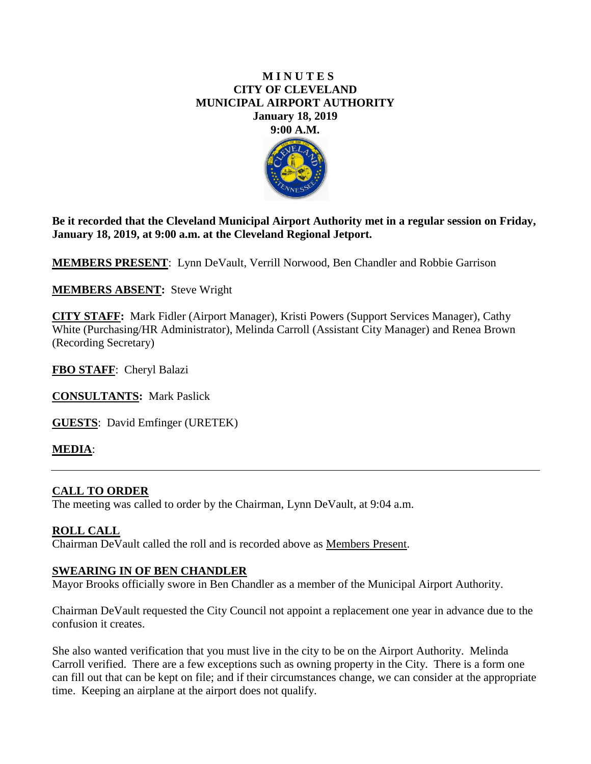### **M I N U T E S CITY OF CLEVELAND MUNICIPAL AIRPORT AUTHORITY January 18, 2019 9:00 A.M.**



**Be it recorded that the Cleveland Municipal Airport Authority met in a regular session on Friday, January 18, 2019, at 9:00 a.m. at the Cleveland Regional Jetport.**

**MEMBERS PRESENT**: Lynn DeVault, Verrill Norwood, Ben Chandler and Robbie Garrison

**MEMBERS ABSENT:** Steve Wright

**CITY STAFF:** Mark Fidler (Airport Manager), Kristi Powers (Support Services Manager), Cathy White (Purchasing/HR Administrator), Melinda Carroll (Assistant City Manager) and Renea Brown (Recording Secretary)

**FBO STAFF**: Cheryl Balazi

**CONSULTANTS:** Mark Paslick

**GUESTS**: David Emfinger (URETEK)

## **MEDIA**:

### **CALL TO ORDER**

The meeting was called to order by the Chairman, Lynn DeVault, at 9:04 a.m.

### **ROLL CALL**

Chairman DeVault called the roll and is recorded above as Members Present.

#### **SWEARING IN OF BEN CHANDLER**

Mayor Brooks officially swore in Ben Chandler as a member of the Municipal Airport Authority.

Chairman DeVault requested the City Council not appoint a replacement one year in advance due to the confusion it creates.

She also wanted verification that you must live in the city to be on the Airport Authority. Melinda Carroll verified. There are a few exceptions such as owning property in the City. There is a form one can fill out that can be kept on file; and if their circumstances change, we can consider at the appropriate time. Keeping an airplane at the airport does not qualify.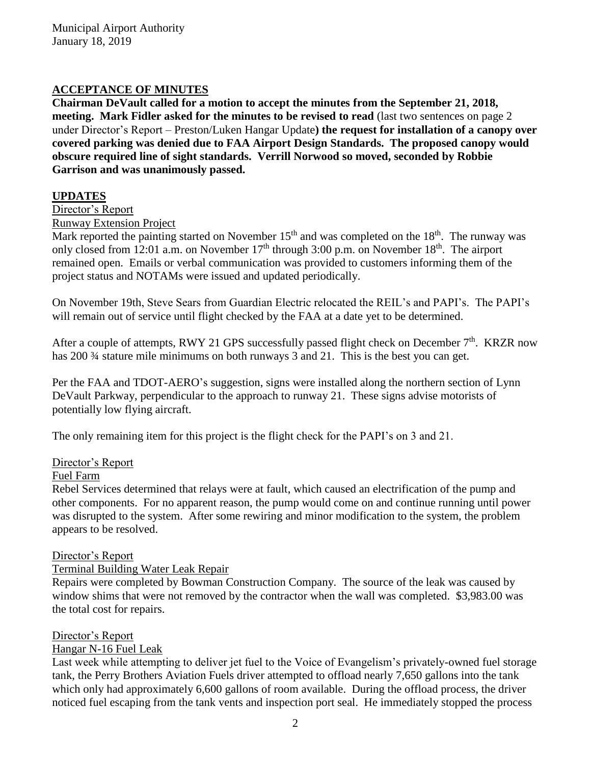# **ACCEPTANCE OF MINUTES**

**Chairman DeVault called for a motion to accept the minutes from the September 21, 2018, meeting. Mark Fidler asked for the minutes to be revised to read** (last two sentences on page 2 under Director's Report – Preston/Luken Hangar Update**) the request for installation of a canopy over covered parking was denied due to FAA Airport Design Standards. The proposed canopy would obscure required line of sight standards. Verrill Norwood so moved, seconded by Robbie Garrison and was unanimously passed.** 

# **UPDATES**

Director's Report

Runway Extension Project

Mark reported the painting started on November  $15<sup>th</sup>$  and was completed on the  $18<sup>th</sup>$ . The runway was only closed from 12:01 a.m. on November  $17<sup>th</sup>$  through 3:00 p.m. on November  $18<sup>th</sup>$ . The airport remained open. Emails or verbal communication was provided to customers informing them of the project status and NOTAMs were issued and updated periodically.

On November 19th, Steve Sears from Guardian Electric relocated the REIL's and PAPI's. The PAPI's will remain out of service until flight checked by the FAA at a date yet to be determined.

After a couple of attempts, RWY 21 GPS successfully passed flight check on December 7<sup>th</sup>. KRZR now has 200  $\frac{3}{4}$  stature mile minimums on both runways 3 and 21. This is the best you can get.

Per the FAA and TDOT-AERO's suggestion, signs were installed along the northern section of Lynn DeVault Parkway, perpendicular to the approach to runway 21. These signs advise motorists of potentially low flying aircraft.

The only remaining item for this project is the flight check for the PAPI's on 3 and 21.

## Director's Report

### Fuel Farm

Rebel Services determined that relays were at fault, which caused an electrification of the pump and other components. For no apparent reason, the pump would come on and continue running until power was disrupted to the system. After some rewiring and minor modification to the system, the problem appears to be resolved.

### Director's Report

Terminal Building Water Leak Repair

Repairs were completed by Bowman Construction Company. The source of the leak was caused by window shims that were not removed by the contractor when the wall was completed. \$3,983.00 was the total cost for repairs.

### Director's Report

### Hangar N-16 Fuel Leak

Last week while attempting to deliver jet fuel to the Voice of Evangelism's privately-owned fuel storage tank, the Perry Brothers Aviation Fuels driver attempted to offload nearly 7,650 gallons into the tank which only had approximately 6,600 gallons of room available. During the offload process, the driver noticed fuel escaping from the tank vents and inspection port seal. He immediately stopped the process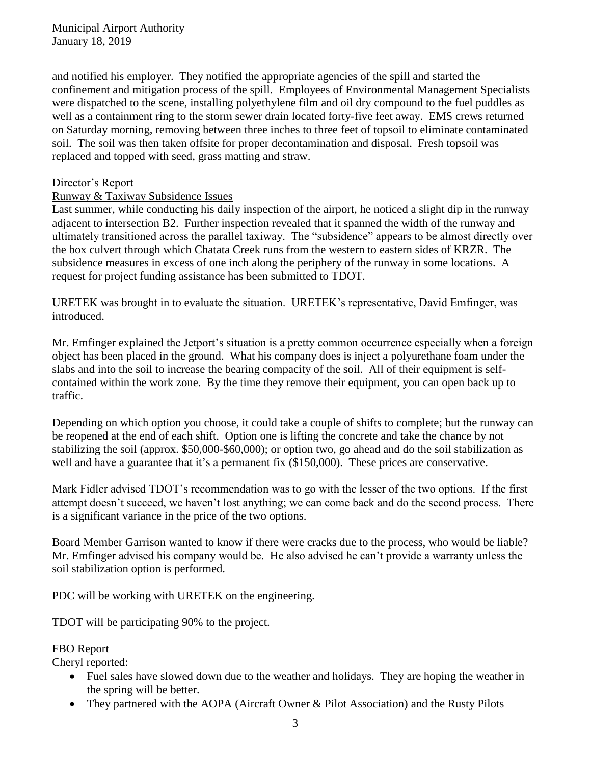and notified his employer. They notified the appropriate agencies of the spill and started the confinement and mitigation process of the spill. Employees of Environmental Management Specialists were dispatched to the scene, installing polyethylene film and oil dry compound to the fuel puddles as well as a containment ring to the storm sewer drain located forty-five feet away. EMS crews returned on Saturday morning, removing between three inches to three feet of topsoil to eliminate contaminated soil. The soil was then taken offsite for proper decontamination and disposal. Fresh topsoil was replaced and topped with seed, grass matting and straw.

## Director's Report

## Runway & Taxiway Subsidence Issues

Last summer, while conducting his daily inspection of the airport, he noticed a slight dip in the runway adjacent to intersection B2. Further inspection revealed that it spanned the width of the runway and ultimately transitioned across the parallel taxiway. The "subsidence" appears to be almost directly over the box culvert through which Chatata Creek runs from the western to eastern sides of KRZR. The subsidence measures in excess of one inch along the periphery of the runway in some locations. A request for project funding assistance has been submitted to TDOT.

URETEK was brought in to evaluate the situation. URETEK's representative, David Emfinger, was introduced.

Mr. Emfinger explained the Jetport's situation is a pretty common occurrence especially when a foreign object has been placed in the ground. What his company does is inject a polyurethane foam under the slabs and into the soil to increase the bearing compacity of the soil. All of their equipment is selfcontained within the work zone. By the time they remove their equipment, you can open back up to traffic.

Depending on which option you choose, it could take a couple of shifts to complete; but the runway can be reopened at the end of each shift. Option one is lifting the concrete and take the chance by not stabilizing the soil (approx. \$50,000-\$60,000); or option two, go ahead and do the soil stabilization as well and have a guarantee that it's a permanent fix (\$150,000). These prices are conservative.

Mark Fidler advised TDOT's recommendation was to go with the lesser of the two options. If the first attempt doesn't succeed, we haven't lost anything; we can come back and do the second process. There is a significant variance in the price of the two options.

Board Member Garrison wanted to know if there were cracks due to the process, who would be liable? Mr. Emfinger advised his company would be. He also advised he can't provide a warranty unless the soil stabilization option is performed.

PDC will be working with URETEK on the engineering.

TDOT will be participating 90% to the project.

### FBO Report

Cheryl reported:

- Fuel sales have slowed down due to the weather and holidays. They are hoping the weather in the spring will be better.
- They partnered with the AOPA (Aircraft Owner & Pilot Association) and the Rusty Pilots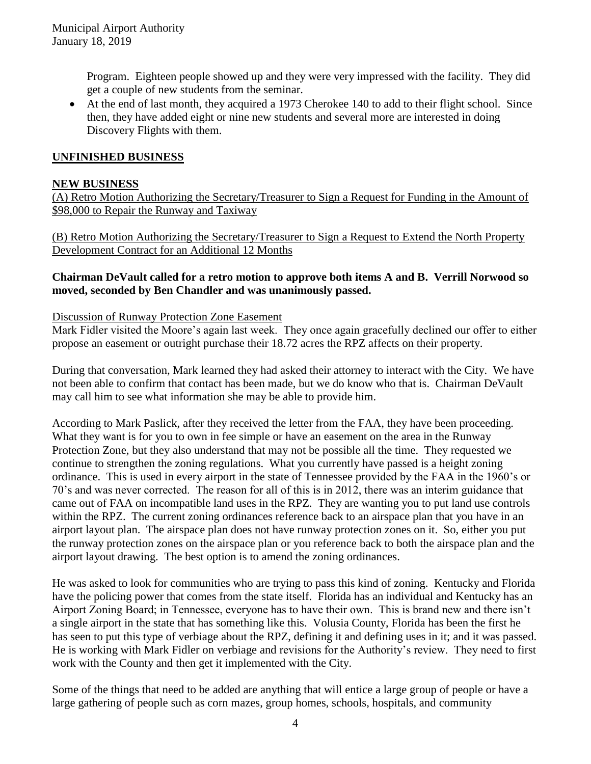Program. Eighteen people showed up and they were very impressed with the facility. They did get a couple of new students from the seminar.

• At the end of last month, they acquired a 1973 Cherokee 140 to add to their flight school. Since then, they have added eight or nine new students and several more are interested in doing Discovery Flights with them.

## **UNFINISHED BUSINESS**

### **NEW BUSINESS**

(A) Retro Motion Authorizing the Secretary/Treasurer to Sign a Request for Funding in the Amount of \$98,000 to Repair the Runway and Taxiway

(B) Retro Motion Authorizing the Secretary/Treasurer to Sign a Request to Extend the North Property Development Contract for an Additional 12 Months

### **Chairman DeVault called for a retro motion to approve both items A and B. Verrill Norwood so moved, seconded by Ben Chandler and was unanimously passed.**

### Discussion of Runway Protection Zone Easement

Mark Fidler visited the Moore's again last week. They once again gracefully declined our offer to either propose an easement or outright purchase their 18.72 acres the RPZ affects on their property.

During that conversation, Mark learned they had asked their attorney to interact with the City. We have not been able to confirm that contact has been made, but we do know who that is. Chairman DeVault may call him to see what information she may be able to provide him.

According to Mark Paslick, after they received the letter from the FAA, they have been proceeding. What they want is for you to own in fee simple or have an easement on the area in the Runway Protection Zone, but they also understand that may not be possible all the time. They requested we continue to strengthen the zoning regulations. What you currently have passed is a height zoning ordinance. This is used in every airport in the state of Tennessee provided by the FAA in the 1960's or 70's and was never corrected. The reason for all of this is in 2012, there was an interim guidance that came out of FAA on incompatible land uses in the RPZ. They are wanting you to put land use controls within the RPZ. The current zoning ordinances reference back to an airspace plan that you have in an airport layout plan. The airspace plan does not have runway protection zones on it. So, either you put the runway protection zones on the airspace plan or you reference back to both the airspace plan and the airport layout drawing. The best option is to amend the zoning ordinances.

He was asked to look for communities who are trying to pass this kind of zoning. Kentucky and Florida have the policing power that comes from the state itself. Florida has an individual and Kentucky has an Airport Zoning Board; in Tennessee, everyone has to have their own. This is brand new and there isn't a single airport in the state that has something like this. Volusia County, Florida has been the first he has seen to put this type of verbiage about the RPZ, defining it and defining uses in it; and it was passed. He is working with Mark Fidler on verbiage and revisions for the Authority's review. They need to first work with the County and then get it implemented with the City.

Some of the things that need to be added are anything that will entice a large group of people or have a large gathering of people such as corn mazes, group homes, schools, hospitals, and community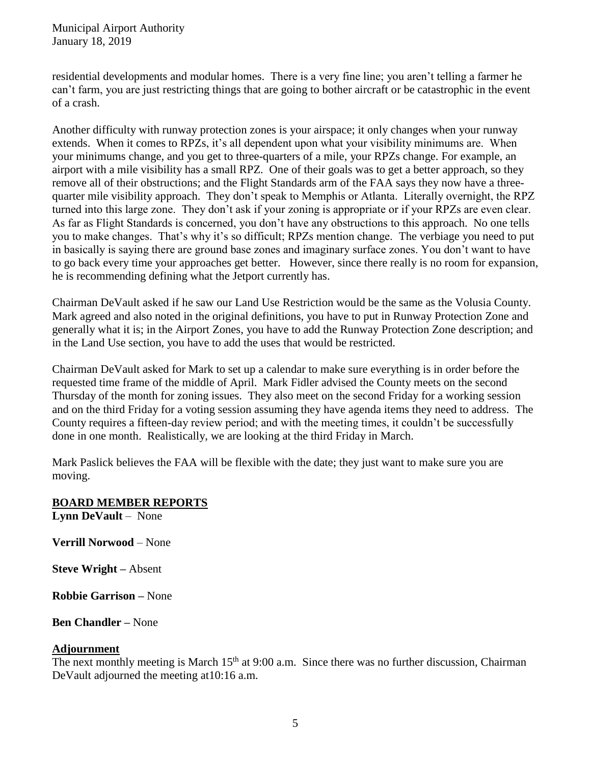Municipal Airport Authority January 18, 2019

residential developments and modular homes. There is a very fine line; you aren't telling a farmer he can't farm, you are just restricting things that are going to bother aircraft or be catastrophic in the event of a crash.

Another difficulty with runway protection zones is your airspace; it only changes when your runway extends. When it comes to RPZs, it's all dependent upon what your visibility minimums are. When your minimums change, and you get to three-quarters of a mile, your RPZs change. For example, an airport with a mile visibility has a small RPZ. One of their goals was to get a better approach, so they remove all of their obstructions; and the Flight Standards arm of the FAA says they now have a threequarter mile visibility approach. They don't speak to Memphis or Atlanta. Literally overnight, the RPZ turned into this large zone. They don't ask if your zoning is appropriate or if your RPZs are even clear. As far as Flight Standards is concerned, you don't have any obstructions to this approach. No one tells you to make changes. That's why it's so difficult; RPZs mention change. The verbiage you need to put in basically is saying there are ground base zones and imaginary surface zones. You don't want to have to go back every time your approaches get better. However, since there really is no room for expansion, he is recommending defining what the Jetport currently has.

Chairman DeVault asked if he saw our Land Use Restriction would be the same as the Volusia County. Mark agreed and also noted in the original definitions, you have to put in Runway Protection Zone and generally what it is; in the Airport Zones, you have to add the Runway Protection Zone description; and in the Land Use section, you have to add the uses that would be restricted.

Chairman DeVault asked for Mark to set up a calendar to make sure everything is in order before the requested time frame of the middle of April. Mark Fidler advised the County meets on the second Thursday of the month for zoning issues. They also meet on the second Friday for a working session and on the third Friday for a voting session assuming they have agenda items they need to address. The County requires a fifteen-day review period; and with the meeting times, it couldn't be successfully done in one month. Realistically, we are looking at the third Friday in March.

Mark Paslick believes the FAA will be flexible with the date; they just want to make sure you are moving.

### **BOARD MEMBER REPORTS**

**Lynn DeVault** – None

**Verrill Norwood** – None

**Steve Wright –** Absent

**Robbie Garrison –** None

**Ben Chandler –** None

#### **Adjournment**

The next monthly meeting is March  $15<sup>th</sup>$  at 9:00 a.m. Since there was no further discussion, Chairman DeVault adjourned the meeting at10:16 a.m.